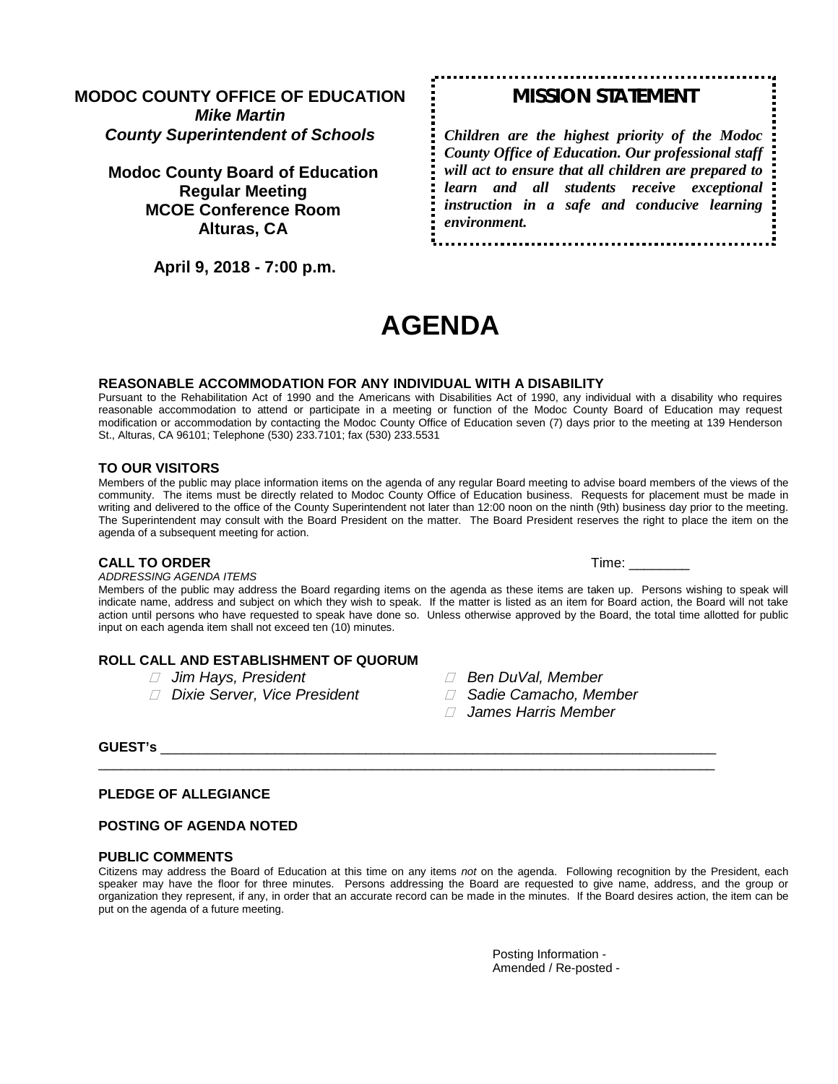# **MODOC COUNTY OFFICE OF EDUCATION** *Mike Martin County Superintendent of Schools*

# **Modoc County Board of Education Regular Meeting MCOE Conference Room Alturas, CA**

 **April 9, 2018 - 7:00 p.m.** 

# *MISSION STATEMENT*

*Children are the highest priority of the Modoc County Office of Education. Our professional staff will act to ensure that all children are prepared to learn and all students receive exceptional instruction in a safe and conducive learning environment.*

# **AGENDA**

#### **REASONABLE ACCOMMODATION FOR ANY INDIVIDUAL WITH A DISABILITY**

Pursuant to the Rehabilitation Act of 1990 and the Americans with Disabilities Act of 1990, any individual with a disability who requires reasonable accommodation to attend or participate in a meeting or function of the Modoc County Board of Education may request modification or accommodation by contacting the Modoc County Office of Education seven (7) days prior to the meeting at 139 Henderson St., Alturas, CA 96101; Telephone (530) 233.7101; fax (530) 233.5531

#### **TO OUR VISITORS**

Members of the public may place information items on the agenda of any regular Board meeting to advise board members of the views of the community. The items must be directly related to Modoc County Office of Education business. Requests for placement must be made in writing and delivered to the office of the County Superintendent not later than 12:00 noon on the ninth (9th) business day prior to the meeting. The Superintendent may consult with the Board President on the matter. The Board President reserves the right to place the item on the agenda of a subsequent meeting for action.

#### **CALL TO ORDER Time:**  $\blacksquare$

*ADDRESSING AGENDA ITEMS*

Members of the public may address the Board regarding items on the agenda as these items are taken up. Persons wishing to speak will indicate name, address and subject on which they wish to speak. If the matter is listed as an item for Board action, the Board will not take action until persons who have requested to speak have done so. Unless otherwise approved by the Board, the total time allotted for public input on each agenda item shall not exceed ten (10) minutes.

#### **ROLL CALL AND ESTABLISHMENT OF QUORUM**

- 
- *Dixie Server, Vice President Sadie Camacho, Member*
- *Jim Hays, President Ben DuVal, Member*
	-
	- *James Harris Member*

#### **GUEST's** \_\_\_\_\_\_\_\_\_\_\_\_\_\_\_\_\_\_\_\_\_\_\_\_\_\_\_\_\_\_\_\_\_\_\_\_\_\_\_\_\_\_\_\_\_\_\_\_\_\_\_\_\_\_\_\_\_\_\_\_\_\_\_\_\_\_\_\_\_\_\_\_\_

#### **PLEDGE OF ALLEGIANCE**

#### **POSTING OF AGENDA NOTED**

#### **PUBLIC COMMENTS**

Citizens may address the Board of Education at this time on any items *not* on the agenda. Following recognition by the President, each speaker may have the floor for three minutes. Persons addressing the Board are requested to give name, address, and the group or organization they represent, if any, in order that an accurate record can be made in the minutes. If the Board desires action, the item can be put on the agenda of a future meeting.

\_\_\_\_\_\_\_\_\_\_\_\_\_\_\_\_\_\_\_\_\_\_\_\_\_\_\_\_\_\_\_\_\_\_\_\_\_\_\_\_\_\_\_\_\_\_\_\_\_\_\_\_\_\_\_\_\_\_\_\_\_\_\_\_\_\_\_\_\_\_\_\_\_\_\_\_\_\_\_\_\_

Posting Information - Amended / Re-posted -